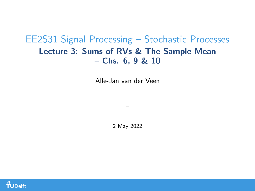## <span id="page-0-0"></span>EE2S31 Signal Processing – Stochastic Processes Lecture 3: Sums of RVs & The Sample Mean – Chs. 6, 9 & 10

Alle-Jan van der Veen

2 May 2022

–

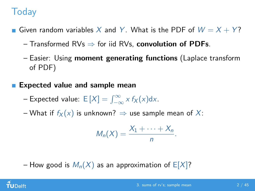# **Today**

- Given random variables X and Y. What is the PDF of  $W = X + Y$ ?
	- Transformed RVs  $\Rightarrow$  for iid RVs, **convolution of PDFs**.
	- Easier: Using moment generating functions (Laplace transform of PDF)

### Expected value and sample mean

- Expected value:  $E[X] = \int_{-\infty}^{\infty} x f_X(x) dx$ .
- What if  $f_X(x)$  is unknown?  $\Rightarrow$  use sample mean of X:

$$
M_n(X)=\frac{X_1+\cdots+X_n}{n}.
$$

– How good is  $M_n(X)$  as an approximation of  $E[X]$ ?

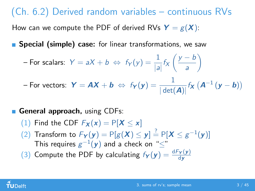# (Ch. 6.2) Derived random variables – continuous RVs

How can we compute the PDF of derived RVs  $Y = g(X)$ :

**Special (simple) case:** for linear transformations, we saw

For scalars: 
$$
Y = aX + b \Leftrightarrow f_Y(y) = \frac{1}{|a|} f_X\left(\frac{y-b}{a}\right)
$$

– For vectors:  $\boldsymbol{Y} = \boldsymbol{A} \boldsymbol{X} + \boldsymbol{b} \; \Leftrightarrow \; \mathit{f}_{\boldsymbol{Y}}(\boldsymbol{y}) = \frac{1}{|\det(\boldsymbol{A})|} \mathit{f}_{\boldsymbol{X}}\left(\boldsymbol{A}^{-1}\left(\boldsymbol{y} - \boldsymbol{b}\right)\right)$ 

#### General approach, using CDFs:

- (1) Find the CDF  $F_{\mathbf{X}}(x) = P[\mathbf{X} \leq x]$
- (2) Transform to  $F_Y(y) = P[g(X) \le y] \stackrel{?}{=} P[X \le g^{-1}(y)]$ This requires  $g^{-1}(\mathbf{y})$  and a check on " $\leq$ "
- (3) Compute the PDF by calculating  $f_Y(y) = \frac{dF_Y(y)}{dy}$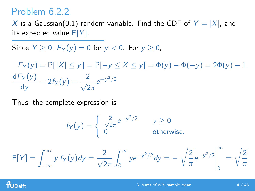X is a Gaussian(0,1) random variable. Find the CDF of  $Y = |X|$ , and its expected value  $E[Y]$ .

Since  $Y > 0$ ,  $F_Y(y) = 0$  for  $y < 0$ . For  $y > 0$ ,

 $F_Y(y) = P[|X| \le y] = P[-y \le X \le y] = \Phi(y) - \Phi(-y) = 2\Phi(y) - 1$  ${\sf d}F_Y(y)$  $\frac{\overline{f_Y(y)}}{\mathrm{d}y} = 2f_X(y) = \frac{2}{\sqrt{2}}$  $2\pi$  $e^{-y^2/2}$ 

Thus, the complete expression is

$$
f_Y(y) = \begin{cases} \frac{2}{\sqrt{2\pi}} e^{-y^2/2} & y \ge 0\\ 0 & \text{otherwise.} \end{cases}
$$

$$
E[Y] = \int_{-\infty}^{\infty} y \, f_Y(y) \, dy = \frac{2}{\sqrt{2\pi}} \int_0^{\infty} y e^{-y^2/2} \, dy = -\sqrt{\frac{2}{\pi}} e^{-y^2/2} \Big|_0^{\infty} = \sqrt{\frac{2}{\pi}}
$$

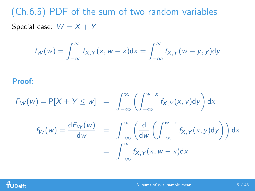(Ch.6.5) PDF of the sum of two random variables Special case:  $W = X + Y$ 

$$
f_W(w) = \int_{-\infty}^{\infty} f_{X,Y}(x, w - x) dx = \int_{-\infty}^{\infty} f_{X,Y}(w - y, y) dy
$$

Proof:

$$
F_W(w) = P[X + Y \le w] = \int_{-\infty}^{\infty} \left( \int_{-\infty}^{w-x} f_{X,Y}(x, y) dy \right) dx
$$

$$
f_W(w) = \frac{dF_W(w)}{dw} = \int_{-\infty}^{\infty} \left( \frac{d}{dw} \left( \int_{-\infty}^{w-x} f_{X,Y}(x, y) dy \right) \right) dx
$$

$$
= \int_{-\infty}^{\infty} f_{X,Y}(x, w - x) dx
$$

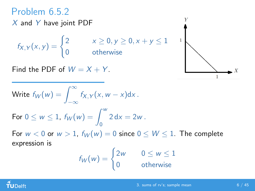# Problem 6.5.2

 $X$  and Y have joint PDF

 $f_{X,Y}(x, y) = \begin{cases} 2 & x \ge 0, y \ge 0, x + y \le 1 \ 0 & x \ne 0, y \ne 0, y \ne 0 \end{cases}$ 0 otherwise

Find the PDF of  $W = X + Y$ .

Write 
$$
f_W(w) = \int_{-\infty}^{\infty} f_{X,Y}(x, w - x) dx
$$
.

For 
$$
0 \le w \le 1
$$
,  $f_W(w) = \int_0^w 2 dx = 2w$ .

For  $w < 0$  or  $w > 1$ ,  $f_W(w) = 0$  since  $0 \leq W \leq 1$ . The complete expression is

$$
f_W(w) = \begin{cases} 2w & 0 \le w \le 1 \\ 0 & \text{otherwise} \end{cases}
$$



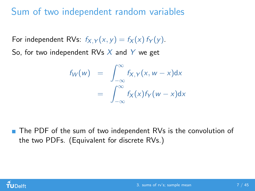## Sum of two independent random variables

For independent RVs:  $f_{X,Y}(x, y) = f_X(x) f_Y(y)$ .

So, for two independent RVs  $X$  and  $Y$  we get

$$
f_W(w) = \int_{-\infty}^{\infty} f_{X,Y}(x, w - x) dx
$$
  
= 
$$
\int_{-\infty}^{\infty} f_X(x) f_Y(w - x) dx
$$

■ The PDF of the sum of two independent RVs is the convolution of the two PDFs. (Equivalent for discrete RVs.)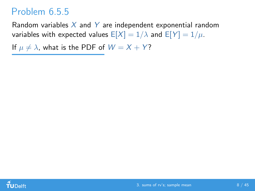## Problem 6.5.5

Random variables  $X$  and Y are independent exponential random variables with expected values  $E[X] = 1/\lambda$  and  $E[Y] = 1/\mu$ .

If  $\mu \neq \lambda$ , what is the PDF of  $W = X + Y$ ?

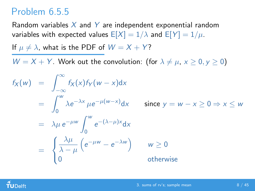## Problem 6.5.5

Random variables  $X$  and Y are independent exponential random variables with expected values  $E[X] = 1/\lambda$  and  $E[Y] = 1/\mu$ .

If  $\mu \neq \lambda$ , what is the PDF of  $W = X + Y$ ?

 $W = X + Y$ . Work out the convolution: (for  $\lambda \neq \mu$ ,  $x \geq 0$ ,  $y \geq 0$ )

$$
f_X(w) = \int_{-\infty}^{\infty} f_X(x) f_Y(w - x) dx
$$
  
\n
$$
= \int_{0}^{w} \lambda e^{-\lambda x} \mu e^{-\mu(w - x)} dx \quad \text{since } y = w - x \ge 0 \Rightarrow x \le w
$$
  
\n
$$
= \lambda \mu e^{-\mu w} \int_{0}^{w} e^{-(\lambda - \mu)x} dx
$$
  
\n
$$
= \begin{cases} \frac{\lambda \mu}{\lambda - \mu} \left( e^{-\mu w} - e^{-\lambda w} \right) & w \ge 0 \\ 0 & \text{otherwise} \end{cases}
$$

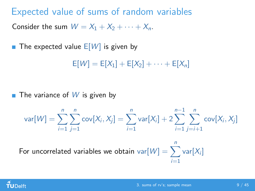Expected value of sums of random variables Consider the sum  $W = X_1 + X_2 + \cdots + X_n$ .

The expected value  $E[W]$  is given by

 $E[W] = E[X_1] + E[X_2] + \cdots + E[X_n]$ 

 $\blacksquare$  The variance of  $W$  is given by

$$
var[W] = \sum_{i=1}^{n} \sum_{j=1}^{n} cov[X_i, X_j] = \sum_{i=1}^{n} var[X_i] + 2 \sum_{i=1}^{n-1} \sum_{j=i+1}^{n} cov[X_i, X_j]
$$

For uncorrelated variables we obtain  $\text{var}[W] = \sum_{i=1}^{n} \text{var}[X_i]$  $i=1$ 

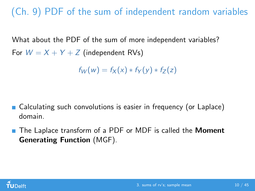(Ch. 9) PDF of the sum of independent random variables

What about the PDF of the sum of more independent variables? For  $W = X + Y + Z$  (independent RVs)

 $f_W(w) = f_X(x) * f_Y(y) * f_Z(z)$ 

- Calculating such convolutions is easier in frequency (or Laplace) domain.
- The Laplace transform of a PDF or MDF is called the **Moment** Generating Function (MGF).

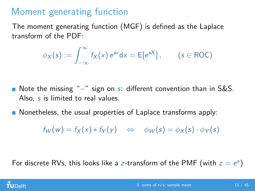# Moment generating function

The moment generating function (MGF) is defined as the Laplace transform of the PDF:

$$
\phi_X(s) := \int_{-\infty}^{\infty} f_X(x) e^{sx} dx = E[e^{sX}], \qquad (s \in ROC)
$$

- Note the missing "–" sign on s: different convention than in S&S. Also, s is limited to real values.
- Nonetheless, the usual properties of Laplace transforms apply:

 $f_W(w) = f_X(x) * f_Y(y) \iff \phi_W(s) = \phi_X(s) \cdot \phi_Y(s)$ 

For discrete RVs, this looks like a z-transform of the PMF (with  $z = e^s$ )

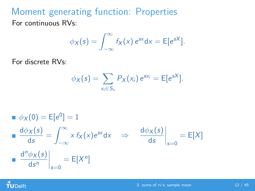Moment generating function: Properties For continuous RVs:

$$
\phi_X(s) = \int_{-\infty}^{\infty} f_X(x) e^{sx} dx = E[e^{sX}].
$$

For discrete RVs:

$$
\phi_X(s) = \sum_{x_i \in S_X} P_X(x_i) e^{sx_i} = \mathsf{E}[e^{sX}].
$$

$$
\begin{aligned}\n\bullet \phi_X(0) &= \mathbb{E}[e^0] = 1 \\
\bullet \frac{d\phi_X(s)}{ds} &= \int_{-\infty}^{\infty} x \, f_X(x) e^{sx} \, dx \quad \Rightarrow \quad \frac{d\phi_X(s)}{ds} \bigg|_{s=0} = \mathbb{E}[X] \\
\bullet \frac{d^n \phi_X(s)}{ds^n} \bigg|_{s=0} &= \mathbb{E}[X^n]\n\end{aligned}
$$

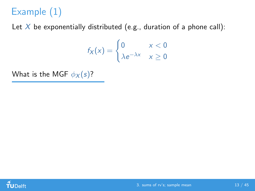# Example (1)

Let  $X$  be exponentially distributed (e.g., duration of a phone call):

$$
f_X(x) = \begin{cases} 0 & x < 0\\ \lambda e^{-\lambda x} & x \ge 0 \end{cases}
$$

What is the MGF  $\phi_X(s)$ ?

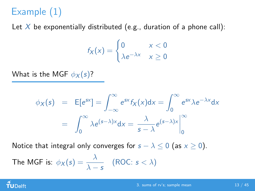# Example (1)

Let  $X$  be exponentially distributed (e.g., duration of a phone call):

$$
f_X(x) = \begin{cases} 0 & x < 0\\ \lambda e^{-\lambda x} & x \ge 0 \end{cases}
$$

What is the MGF  $\phi_X(s)$ ?

$$
\phi_X(s) = \mathbb{E}[e^{sx}] = \int_{-\infty}^{\infty} e^{sx} f_X(x) dx = \int_{0}^{\infty} e^{sx} \lambda e^{-\lambda x} dx
$$

$$
= \int_{0}^{\infty} \lambda e^{(s-\lambda)x} dx = \frac{\lambda}{s-\lambda} e^{(s-\lambda)x} \Big|_{0}^{\infty}
$$

Notice that integral only converges for  $s - \lambda \leq 0$  (as  $x \geq 0$ ).

The MGF is: 
$$
\phi_X(s) = \frac{\lambda}{\lambda - s}
$$
 (ROC:  $s < \lambda$ )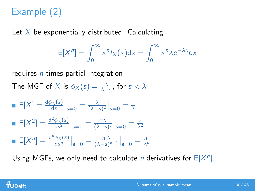# Example (2)

Let  $X$  be exponentially distributed. Calculating

$$
E[Xn] = \int_0^\infty x^n f_X(x) dx = \int_0^\infty x^n \lambda e^{-\lambda x} dx
$$

requires  $n$  times partial integration! The MGF of  $X$  is  $\phi_X(s) = \frac{\lambda}{\lambda-s}$ , for  $s < \lambda$ 

■ 
$$
E[X] = \frac{d\phi_X(s)}{ds}\Big|_{s=0} = \frac{\lambda}{(\lambda - s)^2}\Big|_{s=0} = \frac{1}{\lambda}
$$
  
\n■  $E[X^2] = \frac{d^2\phi_X(s)}{ds^2}\Big|_{s=0} = \frac{2\lambda}{(\lambda - s)^3}\Big|_{s=0} = \frac{2}{\lambda^2}$   
\n■  $E[X^n] = \frac{d^n\phi_X(s)}{ds^n}\Big|_{s=0} = \frac{n!\lambda}{(\lambda - s)^{n+1}}\Big|_{s=0} = \frac{n!}{\lambda^n}$ 

Using MGFs, we only need to calculate *n* derivatives for  $E[X^n]$ .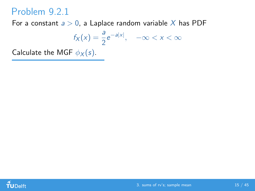For a constant  $a > 0$ , a Laplace random variable X has PDF

$$
f_X(x) = \frac{a}{2}e^{-a|x|}, \quad -\infty < x < \infty
$$

Calculate the MGF  $\phi_X(s)$ .

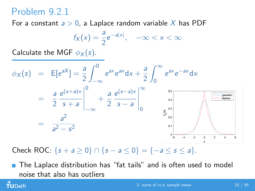For a constant  $a > 0$ , a Laplace random variable X has PDF

$$
f_X(x) = \frac{a}{2}e^{-a|x|}, \quad -\infty < x < \infty
$$

Calculate the MGF  $\phi_X(s)$ .



Check ROC:  $\{s + a \ge 0\}$  ∩  $\{s - a \le 0\}$  =  $\{-a \le s \le a\}$ .

**The Laplace distribution has "fat tails" and is often used to model** noise that also has outliers

 $\tilde{\mathbf{f}}$ UDelft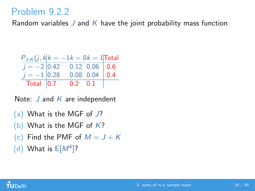Random variables J and K have the joint probability mass function

$$
\frac{P_{J,K}(j,k|k=-1|k=0|k=1|{\text{Total}})}{j=-2\begin{array}{|l|}0.42\ 0.12\ 0.06\ 0.6\end{array}}
$$
\n
$$
\frac{j=-1\begin{array}{|l|}0.28\ 0.08\ 0.04\ 0.4\end{array}}
$$
\n
$$
\frac{1}{10\tanh 0.7}
$$
\n
$$
\frac{1}{100\tanh 0.7}
$$

Note:  $J$  and  $K$  are independent

- (a) What is the MGF of J?
- (b) What is the MGF of  $K$ ?
- (c) Find the PMF of  $M = J + K$
- (d) What is  $E[M^4]$ ?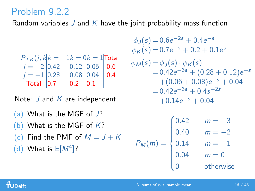Random variables J and K have the joint probability mass function

| $P_{J,K}(j, k k = -1k = 0k = 1$ Total |                      |  |
|---------------------------------------|----------------------|--|
| $j = -2$ 0.42 0.12 0.06 0.6           |                      |  |
| $j = -1$ 0.28 0.08 0.04 0.4           |                      |  |
|                                       | Total $ 0.7$ 0.2 0.1 |  |

Note:  $J$  and  $K$  are independent

- (a) What is the MGF of J?
- (b) What is the MGF of  $K$ ?
- (c) Find the PMF of  $M = J + K$
- (d) What is  $E[M^4]$ ?

$$
\begin{aligned}\n\phi_J(s) &= 0.6e^{-2s} + 0.4e^{-s} \\
\phi_K(s) &= 0.7e^{-s} + 0.2 + 0.1e^s \\
\phi_M(s) &= \phi_J(s) \cdot \phi_K(s) \\
&= 0.42e^{-3s} + (0.28 + 0.12)e^{-s} \\
&\quad + (0.06 + 0.08)e^{-s} + 0.04 \\
&= 0.42e^{-3s} + 0.4s^{-2s} \\
&\quad + 0.14e^{-s} + 0.04\n\end{aligned}
$$

$$
P_M(m) = \begin{cases} 0.42 & m = -3 \\ 0.40 & m = -2 \\ 0.14 & m = -1 \\ 0.04 & m = 0 \\ 0 & \text{otherwise} \end{cases}
$$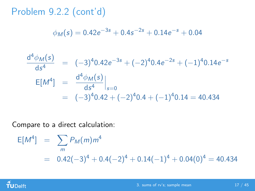Problem 9.2.2 (cont'd)

$$
\phi_M(s) = 0.42e^{-3s} + 0.4s^{-2s} + 0.14e^{-s} + 0.04
$$

$$
\frac{d^4 \phi_M(s)}{ds^4} = (-3)^4 0.42 e^{-3s} + (-2)^4 0.4 e^{-2s} + (-1)^4 0.14 e^{-s}
$$
  
\n
$$
E[M^4] = \frac{d^4 \phi_M(s)}{ds^4}\Big|_{s=0}
$$
  
\n
$$
= (-3)^4 0.42 + (-2)^4 0.4 + (-1)^4 0.14 = 40.434
$$

Compare to a direct calculation:

$$
E[M4] = \sum_{m} P_M(m)m4
$$
  
= 0.42(-3)<sup>4</sup> + 0.4(-2)<sup>4</sup> + 0.14(-1)<sup>4</sup> + 0.04(0)<sup>4</sup> = 40.434

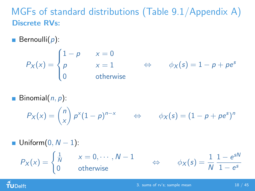## MGFs of standard distributions (Table 9.1/Appendix A) Discrete RVs:

**Bernoulli** $(p)$ :

$$
P_X(x) = \begin{cases} 1-p & x = 0 \\ p & x = 1 \\ 0 & \text{otherwise} \end{cases} \Leftrightarrow \qquad \phi_X(s) = 1-p + pe^s
$$

**Binomial** $(n, p)$ :

$$
P_X(x) = {n \choose x} p^x (1-p)^{n-x} \qquad \Leftrightarrow \qquad \phi_X(s) = (1-p+pe^s)^n
$$

■ Uniform(0, *N* − 1):  
\n
$$
P_X(x) = \begin{cases} \frac{1}{N} & x = 0, \cdots, N - 1 \\ 0 & \text{otherwise} \end{cases} \Leftrightarrow \phi_X(s) = \frac{1}{N} \frac{1 - e^{sN}}{1 - e^s}
$$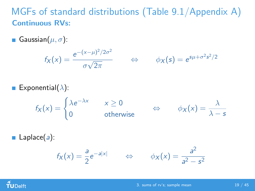## MGFs of standard distributions (Table 9.1/Appendix A) Continuous RVs:

Gaussian $(\mu, \sigma)$ :

$$
f_X(x) = \frac{e^{-(x-\mu)^2/2\sigma^2}}{\sigma\sqrt{2\pi}} \qquad \Leftrightarrow \qquad \phi_X(s) = e^{s\mu + \sigma^2 s^2/2}
$$

Exponential( $\lambda$ ):

$$
f_X(x) = \begin{cases} \lambda e^{-\lambda x} & x \ge 0 \\ 0 & \text{otherwise} \end{cases} \qquad \Leftrightarrow \qquad \phi_X(x) = \frac{\lambda}{\lambda - s}
$$

**Laplace(a):** 

$$
f_X(x) = \frac{a}{2} e^{-a|x|} \qquad \Leftrightarrow \qquad \phi_X(x) = \frac{a^2}{a^2 - s^2}
$$

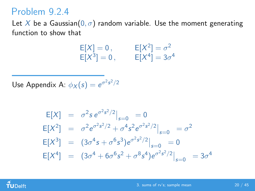Let X be a Gaussian( $0, \sigma$ ) random variable. Use the moment generating function to show that

$$
E[X] = 0, \t E[X2] = \sigma2
$$
  
\n
$$
E[X3] = 0, \t E[X4] = 3\sigma4
$$

Use Appendix A:  $\phi_X(s) = e^{\sigma^2 s^2/2}$ 

$$
E[X] = \sigma^2 s e^{\sigma^2 s^2/2} \Big|_{s=0} = 0
$$
  
\n
$$
E[X^2] = \sigma^2 e^{\sigma^2 s^2/2} + \sigma^4 s^2 e^{\sigma^2 s^2/2} \Big|_{s=0} = \sigma^2
$$
  
\n
$$
E[X^3] = (3\sigma^4 s + \sigma^6 s^3) e^{\sigma^2 s^2/2} \Big|_{s=0} = 0
$$
  
\n
$$
E[X^4] = (3\sigma^4 + 6\sigma^6 s^2 + \sigma^8 s^4) e^{\sigma^2 s^2/2} \Big|_{s=0} = 3\sigma^4
$$

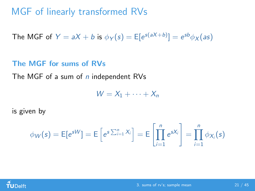## MGF of linearly transformed RVs

The MGF of  $Y = aX + b$  is  $\phi_Y(s) = E[e^{s(aX+b)}] = e^{sb}\phi_X(as)$ 

#### The MGF for sums of RVs

The MGF of a sum of n independent RVs

 $W = X_1 + \cdots + X_n$ 

is given by

$$
\phi_W(s) = \mathsf{E}[e^{sW}] = \mathsf{E}\left[e^{s\sum_{i=1}^n X_i}\right] = \mathsf{E}\left[\prod_{i=1}^n e^{sX_i}\right] = \prod_{i=1}^n \phi_{X_i}(s)
$$

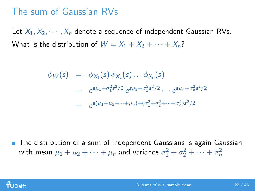## The sum of Gaussian RVs

Let  $X_1, X_2, \cdots, X_n$  denote a sequence of independent Gaussian RVs. What is the distribution of  $W = X_1 + X_2 + \cdots + X_n$ ?

$$
\begin{array}{rcl}\n\phi_W(s) & = & \phi_{X_1}(s)\,\phi_{X_2}(s)\dots\phi_{X_n}(s) \\
& = & e^{s\mu_1 + \sigma_1^2 s^2/2} \, e^{s\mu_2 + \sigma_2^2 s^2/2} \dots \, e^{s\mu_n + \sigma_n^2 s^2/2} \\
& = & e^{s(\mu_1 + \mu_2 + \dots + \mu_n) + (\sigma_1^2 + \sigma_2^2 + \dots + \sigma_n^2) s^2/2}\n\end{array}
$$

**The distribution of a sum of independent Gaussians is again Gaussian** with mean  $\mu_1 + \mu_2 + \cdots + \mu_n$  and variance  $\sigma_1^2 + \sigma_2^2 + \cdots + \sigma_n^2$ 

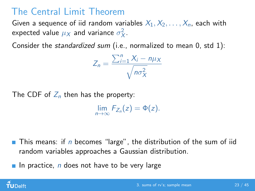# The Central Limit Theorem

Given a sequence of iid random variables  $X_1, X_2, \ldots, X_n$ , each with expected value  $\mu_X$  and variance  $\sigma_X^2$ .

Consider the *standardized sum* (i.e., normalized to mean 0, std 1):

$$
Z_n = \frac{\sum_{i=1}^n X_i - n\mu_X}{\sqrt{n\sigma_X^2}}
$$

The CDF of  $Z_n$  then has the property:

 $\lim_{n\to\infty}F_{Z_n}(z)=\Phi(z).$ 

**This means:** if n becomes "large", the distribution of the sum of iid random variables approaches a Gaussian distribution.

In practice,  $n$  does not have to be very large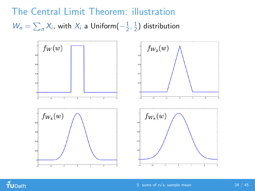The Central Limit Theorem: illustration  $W_n = \sum_n X_i$ , with  $X_i$  a Uniform $\left(-\frac{1}{2}\right)$  $\frac{1}{2}, \frac{1}{2}$  $\frac{1}{2}$ ) distribution



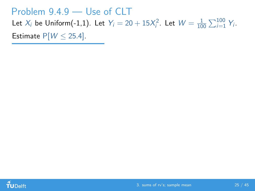### Problem 9.4.9 — Use of CLT

Let  $X_i$  be Uniform(-1,1). Let  $Y_i = 20 + 15X_i^2$ . Let  $W = \frac{1}{10}$  $\frac{1}{100}\sum_{i=1}^{100} Y_i$ .

Estimate  $P[W \le 25.4]$ .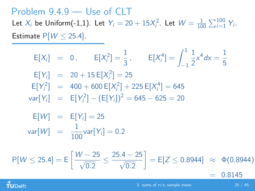#### Problem 9.4.9 — Use of CLT Let  $X_i$  be Uniform(-1,1). Let  $Y_i = 20 + 15X_i^2$ . Let  $W = \frac{1}{10}$  $\frac{1}{100}\sum_{i=1}^{100} Y_i$ . Estimate  $P[W \le 25.4]$ .

$$
E[X_i] = 0, \t E[X_i^2] = \frac{1}{3}, \t E[X_i^4] = \int_{-1}^1 \frac{1}{2} x^4 dx = \frac{1}{5}
$$
  
\n
$$
E[Y_i] = 20 + 15 E[X_i^2] = 25
$$
  
\n
$$
E[Y_i^2] = 400 + 600 E[X_i^2] + 225 E[X_i^4] = 645
$$
  
\n
$$
var[Y_i] = E[Y_i^2] - (E[Y_i])^2 = 645 - 625 = 20
$$
  
\n
$$
E[W] = E[Y_i] = 25
$$
  
\n
$$
var[W] = \frac{1}{100} var[Y_i] = 0.2
$$
  
\n
$$
P[W \le 25.4] = E\left[\frac{W - 25}{\sqrt{0.2}} \le \frac{25.4 - 25}{\sqrt{0.2}}\right] = E[Z \le 0.8944] \approx \Phi(0.8944)
$$
  
\n
$$
= 0.8145
$$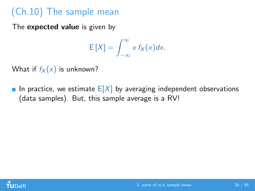# (Ch.10) The sample mean

The **expected value** is given by

$$
E[X] = \int_{-\infty}^{\infty} x f_X(x) dx.
$$

What if  $f_X(x)$  is unknown?

In practice, we estimate  $E[X]$  by averaging independent observations (data samples). But, this sample average is a RV!

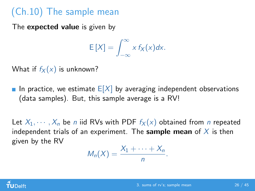# (Ch.10) The sample mean

The **expected value** is given by

$$
E[X] = \int_{-\infty}^{\infty} x f_X(x) dx.
$$

What if  $f_X(x)$  is unknown?

In practice, we estimate  $E[X]$  by averaging independent observations (data samples). But, this sample average is a RV!

Let  $X_1, \dots, X_n$  be *n* iid RVs with PDF  $f_X(x)$  obtained from *n* repeated independent trials of an experiment. The **sample mean** of  $X$  is then given by the RV

$$
M_n(X)=\frac{X_1+\cdots+X_n}{n}.
$$

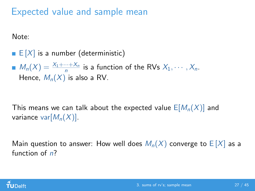## Expected value and sample mean

Note:

 $\blacksquare$  E  $[X]$  is a number (deterministic)

 $M_n(X) = \frac{X_1 + \dots + X_n}{n}$  is a function of the RVs  $X_1, \dots, X_n$ . Hence,  $M_n(X)$  is also a RV.

This means we can talk about the expected value  $E[M_n(X)]$  and variance var $[M_n(X)]$ .

Main question to answer: How well does  $M_n(X)$  converge to  $E[X]$  as a function of  $n$ ?

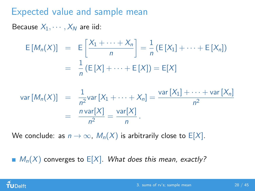## Expected value and sample mean

Because  $X_1, \cdots, X_N$  are iid:

$$
E[M_n(X)] = E\left[\frac{X_1 + \dots + X_n}{n}\right] = \frac{1}{n} (E[X_1] + \dots + E[X_n])
$$

$$
= \frac{1}{n} (E[X] + \dots + E[X]) = E[X]
$$

$$
\operatorname{var}[M_n(X)] = \frac{1}{n^2} \operatorname{var}[X_1 + \dots + X_n] = \frac{\operatorname{var}[X_1] + \dots + \operatorname{var}[X_n]}{n^2}
$$

$$
= \frac{n \operatorname{var}[X]}{n^2} = \frac{\operatorname{var}[X]}{n}.
$$

We conclude: as  $n \to \infty$ ,  $M_n(X)$  is arbitrarily close to E[X].

 $M_n(X)$  converges to  $E[X]$ . What does this mean, exactly?

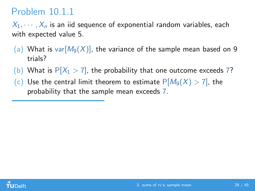# Problem 10.1.1

 $X_1, \dots, X_n$  is an iid sequence of exponential random variables, each with expected value 5.

- (a) What is var $[M_9(X)]$ , the variance of the sample mean based on 9 trials?
- (b) What is  $P[X_1 > 7]$ , the probability that one outcome exceeds 7?
- (c) Use the central limit theorem to estimate  $P[M_9(X) > 7]$ , the probability that the sample mean exceeds 7.

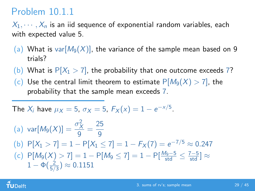# Problem 10.1.1

 $X_1, \dots, X_n$  is an iid sequence of exponential random variables, each with expected value 5.

- (a) What is var $[M_9(X)]$ , the variance of the sample mean based on 9 trials?
- (b) What is  $P[X_1 > 7]$ , the probability that one outcome exceeds 7?
- (c) Use the central limit theorem to estimate  $P[M_9(X) > 7]$ , the probability that the sample mean exceeds 7.

The 
$$
X_i
$$
 have  $\mu_X = 5$ ,  $\sigma_X = 5$ ,  $F_X(x) = 1 - e^{-x/5}$ .

(a) 
$$
\text{var}[M_9(X)] = \frac{\sigma_X^2}{9} = \frac{25}{9}
$$
  
\n(b)  $P[X_1 > 7] = 1 - P[X_1 \le 7] = 1 - F_X(7) = e^{-7/5} \approx 0.247$   
\n(c)  $P[M_9(X) > 7] = 1 - P[M_9 \le 7] = 1 - P[\frac{M_9 - 5}{\text{std}} \le \frac{7 - 5}{\text{std}}] \approx 1 - \Phi(\frac{2}{5/3}) \approx 0.1151$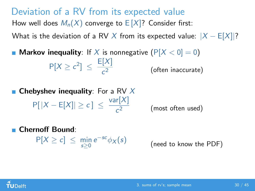Deviation of a RV from its expected value How well does  $M_n(X)$  converge to  $E[X]$ ? Consider first: What is the deviation of a RV X from its expected value:  $|X - E[X]|$ ?

**Markov inequality**: If X is nonnegative  $(P[X < 0] = 0)$  $P[X \geq c^2] \leq \frac{E[X]}{c^2}$ c (often inaccurate)

**Chebyshev inequality**: For a RV  $X$  $P[|X - E[X]| \ge c] \le \frac{\text{var}[X]}{c^2}$ c (most often used)

Chernoff Bound:

 $P[X \ge c] \le \min_{s \ge 0} e^{-sc} \phi_X(s)$ 

(need to know the PDF)

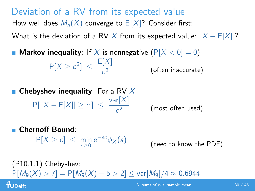Deviation of a RV from its expected value How well does  $M_n(X)$  converge to  $E[X]$ ? Consider first: What is the deviation of a RV X from its expected value:  $|X - E[X]|$ ?

**Markov inequality**: If X is nonnegative  $(P[X < 0] = 0)$  $P[X \geq c^2] \leq \frac{E[X]}{c^2}$ c (often inaccurate)

**Chebyshev inequality**: For a RV  $X$  $P[|X - E[X]| \ge c] \le \frac{\text{var}[X]}{c^2}$ c (most often used)

■ Chernoff Bound:

 $P[X \ge c] \le \min_{s \ge 0} e^{-sc} \phi_X(s)$ 

(need to know the PDF)

(P10.1.1) Chebyshev:  $P[M_9(X) > 7] = P[M_9(X) - 5 > 2] < \text{var}[M_9]/4 \approx 0.6944$  $\tilde{\mathbf{f}}$ UDelft 3. sums of rv's: sample mean 30 / 45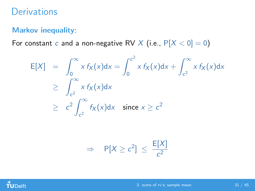## **Derivations**

#### Markov inequality:

For constant c and a non-negative RV X (i.e.,  $P[X < 0] = 0$ )

$$
E[X] = \int_0^\infty x f_X(x) dx = \int_0^{c^2} x f_X(x) dx + \int_{c^2}^\infty x f_X(x) dx
$$
  
\n
$$
\geq \int_{c^2}^\infty x f_X(x) dx
$$
  
\n
$$
\geq c^2 \int_{c^2}^\infty f_X(x) dx \quad \text{since } x \geq c^2
$$

$$
\Rightarrow P[X \geq c^2] \leq \frac{E[X]}{c^2}
$$

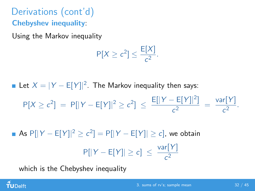# Derivations (cont'd) Chebyshev inequality:

Using the Markov inequality

$$
P[X \geq c^2] \leq \frac{E[X]}{c^2}.
$$

Let  $X = |Y - E[Y]|^2$ . The Markov inequality then says:

$$
P[X \ge c^2] = P[|Y - E[Y]|^2 \ge c^2] \le \frac{E[|Y - E[Y]|^2]}{c^2} = \frac{\text{var}[Y]}{c^2}.
$$

As  $P[|Y - E[Y]|^2 \ge c^2] = P[|Y - E[Y]| \ge c]$ , we obtain  $P[|Y - E[Y]| \ge c] \le \frac{\text{var}[Y]}{2}$  $c<sup>2</sup>$ 

which is the Chebyshev inequality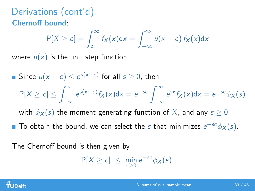# Derivations (cont'd) Chernoff bound:

$$
P[X \ge c] = \int_{c}^{\infty} f_{X}(x)dx = \int_{-\infty}^{\infty} u(x - c) f_{X}(x)dx
$$

where  $u(x)$  is the unit step function.

Since  $u(x-c) \leq e^{s(x-c)}$  for all  $s ≥ 0$ , then  $P[X \ge c] \le \int_{0}^{\infty}$ −∞  $e^{s(x-c)} f_X(x) dx = e^{-sc} \int_{-\infty}^{\infty}$ −∞  $e^{sx} f_X(x) dx = e^{-sc} \phi_X(s)$ 

with  $\phi_X(s)$  the moment generating function of X, and any  $s \geq 0$ .

To obtain the bound, we can select the s that minimizes  $e^{-sc}\phi_X(s)$ .

The Chernoff bound is then given by

$$
P[X \geq c] \leq \min_{s \geq 0} e^{-sc} \phi_X(s).
$$

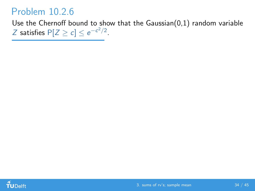## Problem 10.2.6

Use the Chernoff bound to show that the Gaussian $(0,1)$  random variable

Z satisfies  $P[Z \ge c] \le e^{-c^2/2}$ .

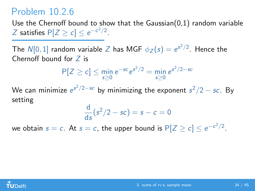## Problem 10.2.6

Use the Chernoff bound to show that the Gaussian(0,1) random variable Z satisfies  $P[Z \ge c] \le e^{-c^2/2}$ .

The  $N[0,1]$  random variable  $Z$  has MGF  $\phi_Z(s) = e^{s^2/2}$ . Hence the Chernoff bound for Z is

$$
P[Z \ge c] \le \min_{s \ge 0} e^{-sc} e^{s^2/2} = \min_{s \ge 0} e^{s^2/2 - sc}
$$

We can minimize  $e^{s^2/2 - sc}$  by minimizing the exponent  $s^2/2 - sc$ . By setting

$$
\frac{\mathrm{d}}{\mathrm{d}s}(s^2/2 - sc) = s - c = 0
$$

we obtain  $s=c$ . At  $s=c$ , the upper bound is  $\mathsf{P}[Z\ge c] \le e^{-c^2/2}.$ 

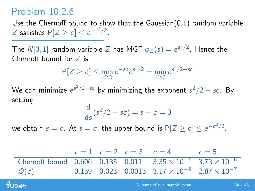## Problem 10.2.6

 $\tilde{\mathbf{f}}$ UDelft

Use the Chernoff bound to show that the Gaussian(0,1) random variable Z satisfies  $P[Z \ge c] \le e^{-c^2/2}$ .

The  $N[0,1]$  random variable  $Z$  has MGF  $\phi_Z(s) = e^{s^2/2}$ . Hence the Chernoff bound for Z is

$$
P[Z \ge c] \le \min_{s \ge 0} e^{-sc} e^{s^2/2} = \min_{s \ge 0} e^{s^2/2 - sc}
$$

We can minimize  $e^{s^2/2 - sc}$  by minimizing the exponent  $s^2/2 - sc$ . By setting

$$
\frac{\mathrm{d}}{\mathrm{d}s}(s^2/2 - sc) = s - c = 0
$$

we obtain  $s=c$ . At  $s=c$ , the upper bound is  $\mathsf{P}[Z\ge c] \le e^{-c^2/2}.$ 

|                                                                              |  | $c = 1$ $c = 2$ $c = 3$ $c = 4$ $c = 5$ |                                                                                    |
|------------------------------------------------------------------------------|--|-----------------------------------------|------------------------------------------------------------------------------------|
| Chernoff bound 0.606 0.135 0.011 $3.35 \times 10^{-4}$ $3.73 \times 10^{-6}$ |  |                                         |                                                                                    |
| Q(c)                                                                         |  |                                         | $0.159$ 0.023 0.0013 3.17 $\times$ 10 <sup>-5</sup> 2.87 $\times$ 10 <sup>-7</sup> |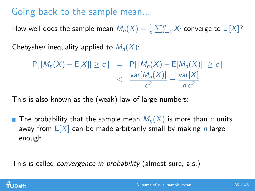# Going back to the sample mean...

How well does the sample mean  $M_n(X) = \frac{1}{n} \sum_{i=1}^n X_i$  converge to  $\mathsf{E}\left[X\right]$ ?

Chebyshev inequality applied to  $M_n(X)$ :

$$
P[|M_n(X) - E[X]| \ge c] = P[|M_n(X) - E[M_n(X)]| \ge c]
$$
  

$$
\le \frac{\text{var}[M_n(X)]}{c^2} = \frac{\text{var}[X]}{nc^2}
$$

This is also known as the (weak) law of large numbers:

**The probability that the sample mean**  $M_n(X)$  **is more than c units** away from  $E[X]$  can be made arbitrarily small by making *n* large enough.

This is called *convergence in probability* (almost sure, a.s.)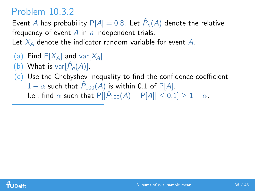## Problem 10.3.2

Event A has probability  $P[A] = 0.8$ . Let  $\hat{P}_n(A)$  denote the relative frequency of event  $\overline{A}$  in *n* independent trials.

Let  $X_4$  denote the indicator random variable for event A.

- (a) Find  $E[X_A]$  and var $[X_A]$ .
- (b) What is  $var[\hat{P}_n(A)]$ .
- $(c)$  Use the Chebyshev inequality to find the confidence coefficient  $1-\alpha$  such that  $\hat{P}_{100}(A)$  is within 0.1 of P[A].

I.e., find  $\alpha$  such that  $\mathsf{P}[|\hat{P}_{100}(A) - \mathsf{P}[A]| \leq 0.1] \geq 1 - \alpha$ .

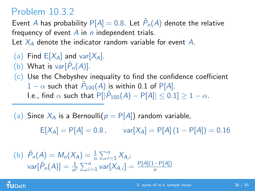## Problem 10.3.2

Event A has probability  $P[A] = 0.8$ . Let  $\hat{P}_n(A)$  denote the relative frequency of event  $\overline{A}$  in *n* independent trials.

Let  $X_4$  denote the indicator random variable for event A.

- (a) Find  $E[X_A]$  and var $[X_A]$ .
- (b) What is  $var[\hat{P}_n(A)]$ .
- $(c)$  Use the Chebyshev inequality to find the confidence coefficient  $1-\alpha$  such that  $\hat{P}_{100}(A)$  is within 0.1 of P[A]. I.e., find  $\alpha$  such that  $\mathsf{P}[|\hat{P}_{100}(A) - \mathsf{P}[A]| \leq 0.1] \geq 1 - \alpha$ .

(a) Since  $X_A$  is a Bernoulli $(p = P[A])$  random variable,

 $E[X_A] = P[A] = 0.8$ , var $[X_A] = P[A](1 - P[A]) = 0.16$ 

(b) 
$$
\hat{P}_n(A) = M_n(X_A) = \frac{1}{n} \sum_{i=1}^n X_{A,i}
$$
  
  $var[\hat{P}_n(A)] = \frac{1}{n^2} \sum_{i=1}^n var[X_{A,i}] = \frac{P[A](1-P[A])}{n}$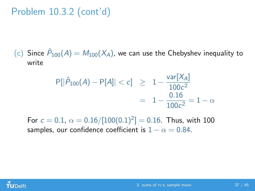Problem 10.3.2 (cont'd)

(c) Since  $\hat{P}_{100}(A) = M_{100}(X_A)$ , we can use the Chebyshev inequality to write

$$
P[|\hat{P}_{100}(A) - P[A]| < c] \ge 1 - \frac{\text{var}[X_A]}{100c^2} \\
 = 1 - \frac{0.16}{100c^2} = 1 - \alpha
$$

For  $c = 0.1$ ,  $\alpha = 0.16/[100(0.1)^2] = 0.16$ . Thus, with 100 samples, our confidence coefficient is  $1 - \alpha = 0.84$ .

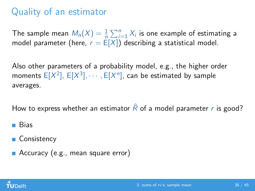# Quality of an estimator

The sample mean  $M_n(X) = \frac{1}{n} \sum_{i=1}^n X_i$  is one example of estimating a model parameter (here,  $r = E[X]$ ) describing a statistical model.

Also other parameters of a probability model, e.g., the higher order moments  $\mathsf{E}[X^2],\,\mathsf{E}[X^3],\cdots,\mathsf{E}[X^n],$  can be estimated by sample averages.

How to express whether an estimator  $\hat{R}$  of a model parameter r is good?

- **Bias**
- Consistency
- Accuracy (e.g., mean square error)

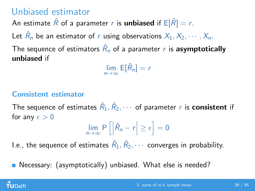## Unbiased estimator

An estimate  $\hat{R}$  of a parameter r is **unbiased** if  $E[\hat{R}] = r$ .

Let  $\hat{R}_n$  be an estimator of r using observations  $X_1, X_2, \cdots, X_n$ .

The sequence of estimators  $\hat{R}_n$  of a parameter  $r$  is  $\bm{asymptotically}$ unbiased if

 $\lim_{n\to\infty} E[\hat{R}_n] = r$ 

### Consistent estimator

The sequence of estimates  $\hat R_1, \hat R_2, \cdots$  of parameter  $r$  is  $\textbf{consistent}$  if for any  $\epsilon > 0$ 

$$
\lim_{n\to\infty} P\left[\left|\hat{R}_n-r\right|\geq\epsilon\right]=0
$$

I.e., the sequence of estimates  $\hat R_1, \hat R_2, \cdots$  converges in probability.

■ Necessary: (asymptotically) unbiased. What else is needed?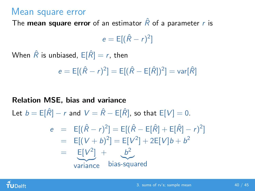### Mean square error

The **mean square error** of an estimator  $\hat{R}$  of a parameter r is

$$
e = \mathsf{E}[(\hat{R} - r)^2]
$$

When  $\hat{R}$  is unbiased,  $E[\hat{R}] = r$ , then

$$
e = E[(\hat{R} - r)^2] = E[(\hat{R} - E[\hat{R}])^2] = \text{var}[\hat{R}]
$$

#### Relation MSE, bias and variance

Let  $b = E[\hat{R}] - r$  and  $V = \hat{R} - E[\hat{R}]$ , so that  $E[V] = 0$ .

$$
e = E[(\hat{R} - r)^{2}] = E[(\hat{R} - E[\hat{R}] + E[\hat{R}] - r)^{2}]
$$
  
= E[(V + b)^{2}] = E[V^{2}] + 2E[V]b + b<sup>2</sup>  
= E[V^{2}] + b<sup>2</sup>  
variance bias-squared

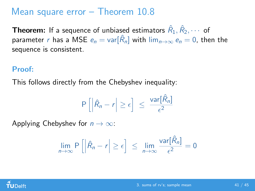## Mean square error – Theorem 10.8

**Theorem:** If a sequence of unbiased estimators  $\hat R_1, \hat R_2, \cdots$  of parameter  $r$  has a MSE  $e_n = \mathsf{var}[\hat{R}_n]$  with  $\lim_{n\to\infty} e_n = 0$ , then the sequence is consistent.

#### Proof:

This follows directly from the Chebyshev inequality:

$$
P\left[\left|\hat{R}_n-r\right|\geq\epsilon\right] \leq \frac{\text{var}[\hat{R}_n]}{\epsilon^2}
$$

Applying Chebyshev for  $n \to \infty$ :

$$
\lim_{n\to\infty} P\left[\left|\hat{R}_n-r\right|\geq\epsilon\right] \leq \lim_{n\to\infty} \frac{\text{var}[\hat{R}_n]}{\epsilon^2}=0
$$

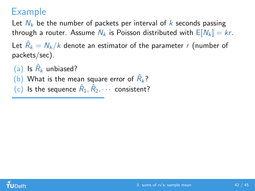## Example

Let  $N_k$  be the number of packets per interval of k seconds passing through a router. Assume  $N_k$  is Poisson distributed with  $E[N_k] = kr$ .

Let  $\hat{R}_k = N_k/k$  denote an estimator of the parameter  $r$  (number of packets/sec).

(a) Is  $\hat{R}_k$  unbiased?

(b) What is the mean square error of  $\hat{R}_k$ ?

(c) Is the sequence  $\hat{R}_1, \hat{R}_2, \cdots$  consistent?

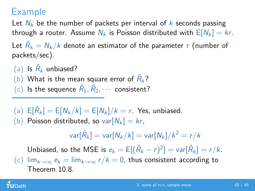## Example

Let  $N_k$  be the number of packets per interval of k seconds passing through a router. Assume  $N_k$  is Poisson distributed with  $E[N_k] = kr$ . Let  $\hat{R}_k = N_k/k$  denote an estimator of the parameter  $r$  (number of packets/sec).

(a) Is  $\hat{R}_k$  unbiased? (b) What is the mean square error of  $\hat{R}_k$ ?

(c) Is the sequence  $\hat{R}_1, \hat{R}_2, \cdots$  consistent?

(a)  $E[\hat{R}_k] = E[N_k/k] = E[N_k]/k = r$ . Yes, unbiased. (b) Poisson distributed, so var $[N_k] = kr$ ,

$$
\mathsf{var}[\hat{R}_k] = \mathsf{var}[N_k/k] = \mathsf{var}[N_k]/k^2 = r/k
$$

Unbiased, so the MSE is  $e_k = \mathbb{E}[(\hat{R}_k - r)^2] = \text{var}[\hat{R}_k] = r/k.$ (c)  $\lim_{k\to\infty} e_k = \lim_{k\to\infty} r/k = 0$ , thus consistent according to Theorem 10.8.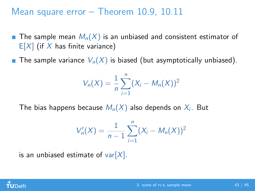## Mean square error – Theorem 10.9, 10.11

- **The sample mean**  $M_n(X)$  **is an unbiased and consistent estimator of**  $E[X]$  (if X has finite variance)
- The sample variance  $V_n(X)$  is biased (but asymptotically unbiased).

$$
V_n(X) = \frac{1}{n} \sum_{i=1}^n (X_i - M_n(X))^2
$$

The bias happens because  $\mathcal{M}_n(X)$  also depends on  $X_i.$  But

$$
V'_n(X) = \frac{1}{n-1} \sum_{i=1}^n (X_i - M_n(X))^2
$$

is an unbiased estimate of var $[X]$ .

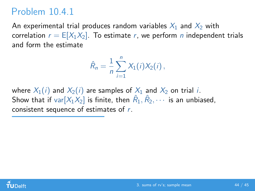## Problem 10.4.1

An experimental trial produces random variables  $X_1$  and  $X_2$  with correlation  $r = E[X_1X_2]$ . To estimate r, we perform n independent trials and form the estimate

$$
\hat{R}_n = \frac{1}{n} \sum_{i=1}^n X_1(i) X_2(i) \,,
$$

where  $X_1(i)$  and  $X_2(i)$  are samples of  $X_1$  and  $X_2$  on trial i. Show that if  $\text{var}[X_1 \overline{X_2}]$  is finite, then  $\hat R_1, \hat R_2, \cdots$  is an unbiased, consistent sequence of estimates of r.

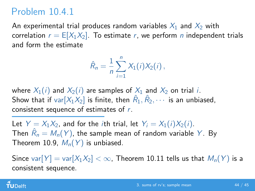# Problem 10.4.1

An experimental trial produces random variables  $X_1$  and  $X_2$  with correlation  $r = E[X_1X_2]$ . To estimate r, we perform n independent trials and form the estimate

$$
\hat{R}_n = \frac{1}{n} \sum_{i=1}^n X_1(i) X_2(i) \,,
$$

where  $X_1(i)$  and  $X_2(i)$  are samples of  $X_1$  and  $X_2$  on trial i. Show that if  $\text{var}[X_1 \overline{X_2}]$  is finite, then  $\hat R_1, \hat R_2, \cdots$  is an unbiased, consistent sequence of estimates of r.

Let  $Y = X_1X_2$ , and for the *i*th trial, let  $Y_i = X_1(i)X_2(i)$ . Then  $\hat{R}_n = M_n(Y)$ , the sample mean of random variable  $Y$ . By Theorem 10.9,  $M_n(Y)$  is unbiased.

Since var $[Y] = \text{var}[X_1X_2] < \infty$ , Theorem 10.11 tells us that  $M_n(Y)$  is a consistent sequence.

### $\tilde{\mathbf{f}}$ UDelft